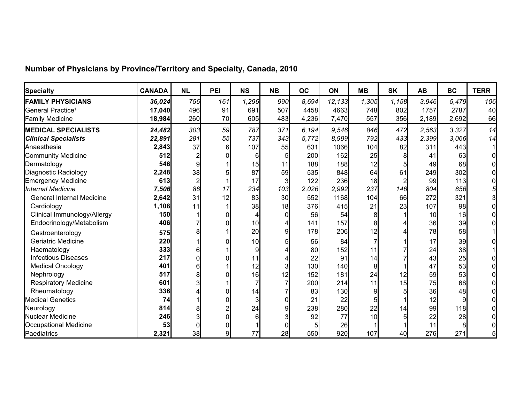| <b>Specialty</b>                 | <b>CANADA</b> | <b>NL</b> | PEI | <b>NS</b> | <b>NB</b>       | QC    | <b>ON</b> | <b>MB</b>       | <b>SK</b> | <b>AB</b> | <b>BC</b> | <b>TERR</b> |
|----------------------------------|---------------|-----------|-----|-----------|-----------------|-------|-----------|-----------------|-----------|-----------|-----------|-------------|
| <b>FAMILY PHYSICIANS</b>         | 36,024        | 756       | 161 | 1,296     | 990             | 8,694 | 12,133    | 1,305           | 1,158     | 3,946     | 5,479     | 106         |
| General Practice <sup>1</sup>    | 17,040        | 496       | 91  | 691       | 507             | 4458  | 4663      | 748             | 802       | 1757      | 2787      | 40          |
| <b>Family Medicine</b>           | 18,984        | 260       | 70  | 605       | 483             | 4,236 | 7,470     | 557             | 356       | 2,189     | 2,692     | 66          |
| <b>MEDICAL SPECIALISTS</b>       | 24,482        | 303       | 59  | 787       | 371             | 6,194 | 9.546     | 846             | 472       | 2,563     | 3,327     | 14          |
| <b>Clinical Specialists</b>      | 22,891        | 281       | 55  | 737       | 343             | 5,772 | 8,999     | 792             | 433       | 2,399     | 3,066     | 14          |
| Anaesthesia                      | 2,843         | 37        | 6   | 107       | 55              | 631   | 1066      | 104             | 82        | 311       | 443       |             |
| Community Medicine               | 512           |           |     | 6         |                 | 200   | 162       | 25              | 8         | 41        | 63        |             |
| Dermatology                      | 546           |           |     | 15        | 11              | 188   | 188       | 12 <sup>1</sup> |           | 49        | 68        |             |
| Diagnostic Radiology             | 2,248         | 38        |     | 87        | 59              | 535   | 848       | 64              | 61        | 249       | 302       |             |
| Emergency Medicine               | 613           |           |     | 17        |                 | 122   | 236       | 18              |           | 99        | 113       |             |
| Internal Medicine                | 7,506         | 86        | 17  | 234       | 103             | 2,026 | 2,992     | 237             | 146       | 804       | 856       |             |
| <b>General Internal Medicine</b> | 2,642         | 31        | 12  | 83        | 30 <sup>l</sup> | 552   | 1168      | 104             | 66        | 272       | 321       |             |
| Cardiology                       | 1,108         | 11        |     | 38        | 18              | 376   | 415       | 21              | 23        | 107       | 98        |             |
| Clinical Immunology/Allergy      | 150           |           |     |           |                 | 56    | 54        |                 |           | 10        | 16        |             |
| Endocrinology/Metabolism         | 406           |           |     | 10        |                 | 141   | 157       |                 |           | 36        | 39        |             |
| Gastroenterology                 | 575           |           |     | 20        |                 | 178   | 206       | 12              |           | 78        | 58        |             |
| Geriatric Medicine               | 220           |           |     | 10        |                 | 56    | 84        |                 |           | 17        | 39        |             |
| Haematology                      | 333           |           |     |           |                 | 80    | 152       |                 |           | 24        | 38        |             |
| <b>Infectious Diseases</b>       | 217           |           |     | 11        |                 | 22    | 91        | 14              |           | 43        | 25        |             |
| <b>Medical Oncology</b>          | 401           |           |     | 12        |                 | 130   | 140       |                 |           | 47        | 53        |             |
| Nephrology                       | 517           |           |     | 16        |                 | 152   | 181       | 24              | 12        | 59        | 53        |             |
| <b>Respiratory Medicine</b>      | 601           |           |     |           |                 | 200   | 214       | 11              | 15        | 75        | 68        |             |
| Rheumatology                     | 336           |           |     | 14        |                 | 83    | 130       |                 |           | 36        | 48        |             |
| <b>Medical Genetics</b>          | 74            |           |     |           |                 | 21    | 22        |                 |           | 12        |           |             |
| Neurology                        | 814           |           |     | 24        |                 | 238   | 280       | 22              | 14        | 99        | 118       |             |
| Nuclear Medicine                 | 246           |           |     |           |                 | 92    | 77        | 10              |           | 22        | 28        |             |
| Occupational Medicine            | 53            |           |     |           |                 |       | 26        |                 |           | 11        |           |             |
| Paediatrics                      | 2,321         | 38        | 9   | 77        | 28              | 550   | 920       | 107             | 40        | 276       | 271       |             |

## **Number of Physicians by Province/Territory and Specialty, Canada, 2010**